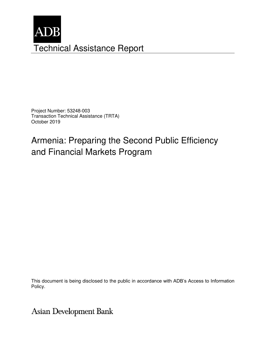

Project Number: 53248-003 Transaction Technical Assistance (TRTA) October 2019

# Armenia: Preparing the Second Public Efficiency and Financial Markets Program

This document is being disclosed to the public in accordance with ADB's Access to Information Policy.

**Asian Development Bank**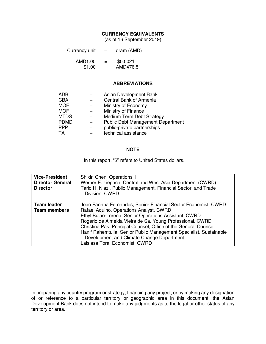#### **CURRENCY EQUIVALENTS**

(as of 16 September 2019)

| Currency unit | - | dram (AMD) |
|---------------|---|------------|
| ***** ^^      |   | *^ ^^^*    |

| AMD1.00 | $=$ | \$0.0021  |
|---------|-----|-----------|
| \$1.00  | $=$ | AMD476.51 |

#### **ABBREVIATIONS**

| <b>ADB</b>  | Asian Development Bank                   |
|-------------|------------------------------------------|
| <b>CBA</b>  | Central Bank of Armenia                  |
| <b>MOE</b>  | Ministry of Economy                      |
| <b>MOF</b>  | Ministry of Finance                      |
| <b>MTDS</b> | <b>Medium Term Debt Strategy</b>         |
| <b>PDMD</b> | <b>Public Debt Management Department</b> |
| <b>PPP</b>  | public-private partnerships              |
| TA          | technical assistance                     |

#### **NOTE**

In this report, "\$" refers to United States dollars.

| <b>Vice-President</b><br><b>Director General</b><br><b>Director</b> | Shixin Chen, Operations 1<br>Werner E. Liepach, Central and West Asia Department (CWRD)<br>Tarig H. Niazi, Public Management, Financial Sector, and Trade<br>Division, CWRD                                                                                                                                                                                                                                                                              |
|---------------------------------------------------------------------|----------------------------------------------------------------------------------------------------------------------------------------------------------------------------------------------------------------------------------------------------------------------------------------------------------------------------------------------------------------------------------------------------------------------------------------------------------|
| <b>Team leader</b><br><b>Team members</b>                           | Joao Farinha Fernandes, Senior Financial Sector Economist, CWRD<br>Rafael Aquino, Operations Analyst, CWRD<br>Ethyl Bulao-Lorena, Senior Operations Assistant, CWRD<br>Rogerio de Almeida Vieira de Sa, Young Professional, CWRD<br>Christina Pak, Principal Counsel, Office of the General Counsel<br>Hanif Rahemtulla, Senior Public Management Specialist, Sustainable<br>Development and Climate Change Department<br>Laisiasa Tora, Economist, CWRD |

In preparing any country program or strategy, financing any project, or by making any designation of or reference to a particular territory or geographic area in this document, the Asian Development Bank does not intend to make any judgments as to the legal or other status of any territory or area.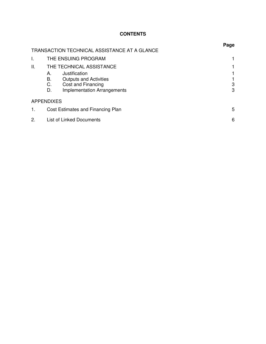## **CONTENTS**

|    |                                                                                                                                    | Page   |
|----|------------------------------------------------------------------------------------------------------------------------------------|--------|
|    | TRANSACTION TECHNICAL ASSISTANCE AT A GLANCE                                                                                       |        |
| I. | THE ENSUING PROGRAM                                                                                                                |        |
| П. | THE TECHNICAL ASSISTANCE                                                                                                           |        |
|    | Justification<br>А.<br>В.<br><b>Outputs and Activities</b><br>Cost and Financing<br>C.<br><b>Implementation Arrangements</b><br>D. | 3<br>3 |
|    | <b>APPENDIXES</b>                                                                                                                  |        |
| 1. | Cost Estimates and Financing Plan                                                                                                  | 5      |
| 2. | <b>List of Linked Documents</b>                                                                                                    | 6      |
|    |                                                                                                                                    |        |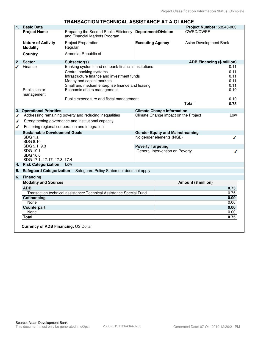|                |                                                                                                                                                                                                                         | TRANSACTION TECHNICAL ASSISTANCE AT A GLANCE                            |                                      |                                                                    |                            |                                      |
|----------------|-------------------------------------------------------------------------------------------------------------------------------------------------------------------------------------------------------------------------|-------------------------------------------------------------------------|--------------------------------------|--------------------------------------------------------------------|----------------------------|--------------------------------------|
| 1 <sup>1</sup> | <b>Basic Data</b>                                                                                                                                                                                                       |                                                                         |                                      |                                                                    | Project Number: 53248-003  |                                      |
|                | <b>Project Name</b>                                                                                                                                                                                                     | Preparing the Second Public Efficiency<br>and Financial Markets Program |                                      | <b>Department/Division</b>                                         | <b>CWRD/CWPF</b>           |                                      |
|                | <b>Nature of Activity</b><br><b>Modality</b>                                                                                                                                                                            | <b>Project Preparation</b><br>Regular                                   | <b>Executing Agency</b>              |                                                                    | Asian Development Bank     |                                      |
|                | <b>Country</b>                                                                                                                                                                                                          | Armenia, Republic of                                                    |                                      |                                                                    |                            |                                      |
| 2.             | <b>Sector</b>                                                                                                                                                                                                           | Subsector(s)                                                            |                                      |                                                                    | ADB Financing (\$ million) |                                      |
|                | Finance<br>Banking systems and nonbank financial institutions<br>Central banking systems<br>Infrastructure finance and investment funds<br>Money and capital markets<br>Small and medium enterprise finance and leasing |                                                                         |                                      |                                                                    |                            | 0.11<br>0.11<br>0.11<br>0.11<br>0.11 |
|                | Public sector<br>management                                                                                                                                                                                             | Economic affairs management                                             |                                      |                                                                    |                            | 0.10                                 |
|                |                                                                                                                                                                                                                         | Public expenditure and fiscal management                                |                                      |                                                                    |                            | 0.10                                 |
|                |                                                                                                                                                                                                                         |                                                                         |                                      |                                                                    | <b>Total</b>               | 0.75                                 |
|                |                                                                                                                                                                                                                         |                                                                         |                                      | <b>Climate Change Information</b>                                  |                            |                                      |
| ✔              | 3. Operational Priorities<br>Addressing remaining poverty and reducing inequalities                                                                                                                                     |                                                                         | Climate Change impact on the Project |                                                                    | Low                        |                                      |
| ✔              |                                                                                                                                                                                                                         | Strengthening governance and institutional capacity                     |                                      |                                                                    |                            |                                      |
| ◢              | Fostering regional cooperation and integration                                                                                                                                                                          |                                                                         |                                      |                                                                    |                            |                                      |
|                |                                                                                                                                                                                                                         |                                                                         |                                      |                                                                    |                            |                                      |
|                | <b>Sustainable Development Goals</b><br>SDG 1.a                                                                                                                                                                         |                                                                         |                                      | <b>Gender Equity and Mainstreaming</b><br>No gender elements (NGE) |                            |                                      |
|                | SDG 8.10                                                                                                                                                                                                                |                                                                         |                                      |                                                                    |                            |                                      |
|                | SDG 9.1, 9.3                                                                                                                                                                                                            |                                                                         | <b>Poverty Targeting</b>             |                                                                    |                            |                                      |
|                | SDG 10.1                                                                                                                                                                                                                |                                                                         |                                      | General Intervention on Poverty                                    |                            |                                      |
|                | SDG 16.6                                                                                                                                                                                                                |                                                                         |                                      |                                                                    |                            |                                      |
|                | SDG 17.1, 17.17, 17.3, 17.4<br><b>Risk Categorization</b>                                                                                                                                                               |                                                                         |                                      |                                                                    |                            |                                      |
| 4.             |                                                                                                                                                                                                                         | Low                                                                     |                                      |                                                                    |                            |                                      |
| 5.             | <b>Safeguard Categorization</b>                                                                                                                                                                                         | Safeguard Policy Statement does not apply                               |                                      |                                                                    |                            |                                      |
| 6.             | <b>Financing</b>                                                                                                                                                                                                        |                                                                         |                                      |                                                                    |                            |                                      |
|                | <b>Modality and Sources</b>                                                                                                                                                                                             |                                                                         |                                      | Amount (\$ million)                                                |                            |                                      |
|                | <b>ADB</b>                                                                                                                                                                                                              |                                                                         |                                      |                                                                    |                            | 0.75                                 |
|                |                                                                                                                                                                                                                         | Transaction technical assistance: Technical Assistance Special Fund     |                                      |                                                                    |                            | 0.75                                 |
|                | Cofinancing                                                                                                                                                                                                             |                                                                         |                                      |                                                                    |                            | 0.00                                 |
|                | None                                                                                                                                                                                                                    |                                                                         |                                      |                                                                    |                            | 0.00                                 |
|                | <b>Counterpart</b>                                                                                                                                                                                                      |                                                                         |                                      |                                                                    |                            | 0.00                                 |
|                | None                                                                                                                                                                                                                    |                                                                         |                                      |                                                                    |                            | 0.00                                 |
|                | <b>Total</b>                                                                                                                                                                                                            |                                                                         |                                      |                                                                    |                            | 0.75                                 |
|                | <b>Currency of ADB Financing: US Dollar</b>                                                                                                                                                                             |                                                                         |                                      |                                                                    |                            |                                      |

# **TRANSACTION TECHNICAL ASSISTANCE AT A GLANCE**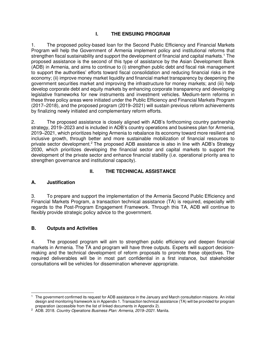## **I. THE ENSUING PROGRAM**

1. The proposed policy-based loan for the Second Public Efficiency and Financial Markets Program will help the Government of Armenia implement policy and institutional reforms that strengthen fiscal sustainability and support the development of financial and capital markets.<sup>1</sup> The proposed assistance is the second of this type of assistance by the Asian Development Bank (ADB) in Armenia, and aims to continue to (i) strengthen public debt and fiscal risk management to support the authorities' efforts toward fiscal consolidation and reducing financial risks in the economy; (ii) improve money market liquidity and financial market transparency by deepening the government securities market and improving the infrastructure for money markets; and (iii) help develop corporate debt and equity markets by enhancing corporate transparency and developing legislative frameworks for new instruments and investment vehicles. Medium-term reforms in these three policy areas were initiated under the Public Efficiency and Financial Markets Program (2017–2018), and the proposed program (2019–2021) will sustain previous reform achievements by finalizing newly initiated and complementary reform efforts.

2. The proposed assistance is closely aligned with ADB's forthcoming country partnership strategy, 2019–2023 and is included in ADB's country operations and business plan for Armenia, 2019–2021, which prioritizes helping Armenia to rebalance its economy toward more resilient and inclusive growth, through better and more sustainable mobilization of financial resources to private sector development.<sup>2</sup> The proposed ADB assistance is also in line with ADB's Strategy 2030, which prioritizes developing the financial sector and capital markets to support the development of the private sector and enhance financial stability (i.e. operational priority area to strengthen governance and institutional capacity).

#### **II. THE TECHNICAL ASSISTANCE**

#### **A. Justification**

3. To prepare and support the implementation of the Armenia Second Public Efficiency and Financial Markets Program, a transaction technical assistance (TA) is required, especially with regards to the Post-Program Engagement Framework. Through this TA, ADB will continue to flexibly provide strategic policy advice to the government.

#### **B. Outputs and Activities**

4. The proposed program will aim to strengthen public efficiency and deepen financial markets in Armenia. The TA and program will have three outputs. Experts will support decisionmaking and the technical development of reform proposals to promote these objectives. The required deliverables will be in most part confidential in a first instance, but stakeholder consultations will be vehicles for dissemination whenever appropriate.

 $\overline{a}$ 1 The government confirmed its request for ADB assistance in the January and March consultation missions. An initial design and monitoring framework is in Appendix 1. Transaction technical assistance (TA) will be provided for program preparation (accessible from the list of linked documents in Appendix 2).

<sup>2</sup> ADB. 2018. Country Operations Business Plan: Armenia, 2019*–*2021. Manila.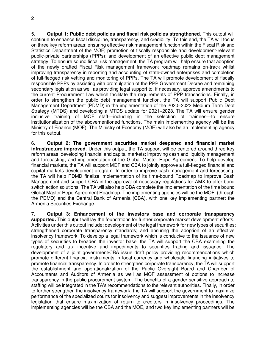5. **Output 1: Public debt policies and fiscal risk policies strengthened**. This output will continue to enhance fiscal discipline, transparency, and credibility. To this end, the TA will focus on three key reform areas: ensuring effective risk management function within the Fiscal Risk and Statistics Department of the MOF; promotion of fiscally responsible and development-relevant public-private partnerships (PPPs); and development of an effective public debt management strategy. To ensure sound fiscal risk management, the TA program will help ensure that adoption of the newly drafted Fiscal Risk management framework roadmap remains on-track whilst improving transparency in reporting and accounting of state-owned enterprises and completion of full-fledged risk vetting and monitoring of PPPs. The TA will promote development of fiscally responsible PPPs by assisting with promulgation of the PPP Government Decree and remaining secondary legislation as well as providing legal support to, if necessary, approve amendments to the current Procurement Law which facilitate the requirements of PPP transactions. Finally, in order to strengthen the public debt management function, the TA will support Public Debt Management Department (PDMD) in the implementation of the 2020–2022 Medium Term Debt Strategy (MTDS) and developing a MTDS update for 2021–2023. The TA will ensure gender inclusive training of MOF staff—including in the selection of trainees—to ensure institutionalization of the abovementioned functions. The main implementing agency will be the Ministry of Finance (MOF). The Ministry of Economy (MOE) will also be an implementing agency for this output.

6. **Output 2: The government securities market deepened and financial market infrastructure improved.** Under this output, the TA support will be centered around three key reform areas: developing financial and capital markets; improving cash and liquidity management and forecasting; and implementation of the Global Master Repo Agreement. To help develop financial markets, the TA will support MOF and CBA to jointly approve a full-fledged financial and capital markets development program. In order to improve cash management and forecasting, the TA will help PDMD finalize implementation of its time-bound Roadmap to improve Cash Management and support CBA in the approval of necessary regulations for AMX to offer bond switch action solutions. The TA will also help CBA complete the implementation of the time bound Global Master Repo Agreement Roadmap. The implementing agencies will be the MOF (through the PDMD) and the Central Bank of Armenia (CBA), with one key implementing partner: the Armenia Securities Exchange.

7. **Output 3: Enhancement of the investors base and corporate transparency supported.** This output will lay the foundations for further corporate market development efforts. Activities under this output include: development of the legal framework for new types of securities; strengthened corporate transparency standards; and ensuring the adoption of an effective insolvency framework. To develop a legal framework which is conducive to the issuance of new types of securities to broaden the investor base, the TA will support the CBA examining the regulatory and tax incentive and impediments to securities trading and issuance. The development of a joint government/CBA issue draft policy providing recommendations which promote different financial instruments in local currency and wholesale financing initiatives to promote financial transparency. In order to strengthen corporate transparency, the TA will support the establishment and operationalization of the Public Oversight Board and Chamber of Accountants and Auditors of Armenia as well as MOF assessment of options to increase transparency in the public procurement system. The benefits of a gender sensitive approach to staffing will be integrated in the TA's recommendations to the relevant authorities. Finally, in order to further strengthen the insolvency framework, the TA will support the government to maximize performance of the specialized courts for insolvency and suggest improvements in the insolvency legislation that ensure maximization of return to creditors in insolvency proceedings. The implementing agencies will be the CBA and the MOE, and two key implementing partners will be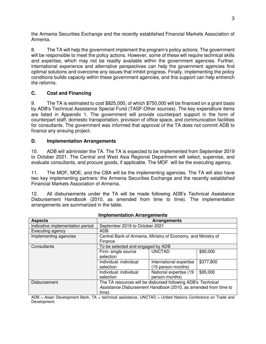the Armenia Securities Exchange and the recently established Financial Markets Association of Armenia.

8. The TA will help the government implement the program's policy actions. The government will be responsible to meet the policy actions. However, some of these will require technical skills and expertise, which may not be readily available within the government agencies. Further, international experience and alternative perspectives can help the government agencies find optimal solutions and overcome any issues that inhibit progress. Finally, implementing the policy conditions builds capacity within these government agencies, and this support can help entrench the reforms.

#### **C. Cost and Financing**

9. The TA is estimated to cost \$825,000, of which \$750,000 will be financed on a grant basis by ADB's Technical Assistance Special Fund (TASF-Other sources). The key expenditure items are listed in Appendix 1. The government will provide counterpart support in the form of counterpart staff, domestic transportation, provision of office space, and communication facilities for consultants. The government was informed that approval of the TA does not commit ADB to finance any ensuing project.

#### **D. Implementation Arrangements**

10. ADB will administer the TA. The TA is expected to be implemented from September 2019 to October 2021. The Central and West Asia Regional Department will select, supervise, and evaluate consultants, and procure goods, if applicable. The MOF will be the executing agency.

11. The MOF, MOE, and the CBA will be the implementing agencies. The TA will also have two key implementing partners: the Armenia Securities Exchange and the recently established Financial Markets Association of Armenia.

12. All disbursements under the TA will be made following ADB's Technical Assistance Disbursement Handbook (2010, as amended from time to time). The implementation arrangements are summarized in the table.

| <u>IIIIpicilientativii Analychicht</u> |                                                                          |                         |           |  |
|----------------------------------------|--------------------------------------------------------------------------|-------------------------|-----------|--|
| <b>Aspects</b>                         | <b>Arrangements</b>                                                      |                         |           |  |
| Indicative implementation period       | September 2019 to October 2021                                           |                         |           |  |
| Executing agency                       | ADB.                                                                     |                         |           |  |
| Implementing agencies                  | Central Bank of Armenia, Ministry of Economy, and Ministry of<br>Finance |                         |           |  |
| Consultants                            | To be selected and engaged by ADB                                        |                         |           |  |
|                                        | Firm: single source                                                      | <b>UNCTAD</b>           | \$90,000  |  |
|                                        | selection                                                                |                         |           |  |
|                                        | Individual: individual                                                   | International expertise | \$377,800 |  |
|                                        | selection                                                                | (15 person-months)      |           |  |
|                                        | Individual: individual                                                   | National expertise (19  | \$95,000  |  |
|                                        | selection                                                                | person-months)          |           |  |
| Disbursement                           | The TA resources will be disbursed following ADB's Technical             |                         |           |  |
|                                        | Assistance Disbursement Handbook (2010, as amended from time to          |                         |           |  |
|                                        | time).                                                                   |                         |           |  |

**Implementation Arrangements**

ADB = Asian Development Bank, TA = technical assistance, UNCTAD = United Nations Conference on Trade and Development.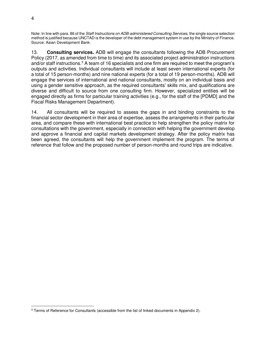Note: In line with para. 86 of the Staff Instructions on ADB-administered Consulting Services, the single source selection method is justified because UNCTAD is the developer of the debt management system in use by the Ministry of Finance. Source: Asian Development Bank.

13. **Consulting services.** ADB will engage the consultants following the ADB Procurement Policy (2017, as amended from time to time) and its associated project administration instructions and/or staff instructions.<sup>3</sup> A team of 16 specialists and one firm are required to meet the program's outputs and activities. Individual consultants will include at least seven international experts (for a total of 15 person-months) and nine national experts (for a total of 19 person-months). ADB will engage the services of international and national consultants, mostly on an individual basis and using a gender sensitive approach, as the required consultants' skills mix, and qualifications are diverse and difficult to source from one consulting firm. However, specialized entities will be engaged directly as firms for particular training activities (e.g., for the staff of the [PDMD] and the Fiscal Risks Management Department).

14. All consultants will be required to assess the gaps in and binding constraints to the financial sector development in their area of expertise, assess the arrangements in their particular area, and compare these with international best practice to help strengthen the policy matrix for consultations with the government, especially in connection with helping the government develop and approve a financial and capital markets development strategy. After the policy matrix has been agreed, the consultants will help the government implement the program. The terms of reference that follow and the proposed number of person-months and round trips are indicative.

 $\overline{a}$ <sup>3</sup> Terms of Reference for Consultants (accessible from the list of linked documents in Appendix 2).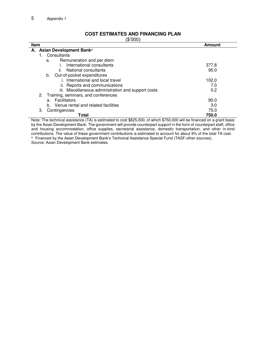#### **COST ESTIMATES AND FINANCING PLAN**

(\$'000)

| ι ν ν ν ν ι<br>Item<br>Amount                       |       |  |  |  |
|-----------------------------------------------------|-------|--|--|--|
| A. Asian Development Banka                          |       |  |  |  |
| Consultants                                         |       |  |  |  |
| Remuneration and per diem<br>a.                     |       |  |  |  |
| International consultants                           | 377.8 |  |  |  |
| ii. National consultants                            | 95.0  |  |  |  |
| Out-of-pocket expenditures<br>b.                    |       |  |  |  |
| i. International and local travel                   | 102.0 |  |  |  |
| ii. Reports and communications                      | 7.0   |  |  |  |
| iii. Miscellaneous administration and support costs | 0.2   |  |  |  |
| 2. Training, seminars, and conferences              |       |  |  |  |
| Facilitators<br>a.                                  | 90.0  |  |  |  |
| Venue rental and related facilities<br>b.           | 3.0   |  |  |  |
| 3.<br>Contingencies                                 | 75.0  |  |  |  |
| Total                                               | 750.0 |  |  |  |

Note: The technical assistance (TA) is estimated to cost \$825,000, of which \$750,000 will be financed on a grant basis by the Asian Development Bank. The government will provide counterpart support in the form of counterpart staff, office and housing accommodation, office supplies, secretarial assistance, domestic transportation, and other in-kind contributions. The value of these government contributions is estimated to account for about 9% of the total TA cost. a Financed by the Asian Development Bank's Technical Assistance Special Fund (TASF-other sources).

Source: Asian Development Bank estimates.